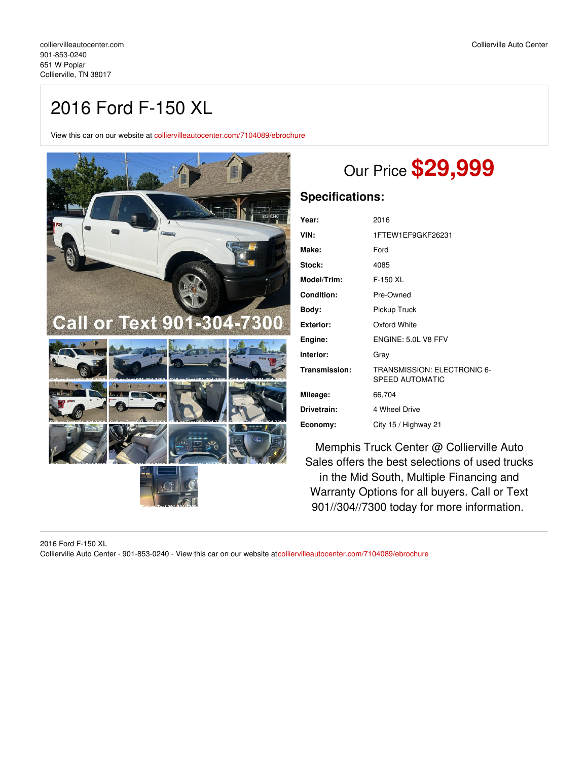## 2016 Ford F-150 XL

View this car on our website at [colliervilleautocenter.com/7104089/ebrochure](https://colliervilleautocenter.com/vehicle/7104089/2016-ford-f-150-xl-collierville-tn-38017/7104089/ebrochure)



# Our Price **\$29,999**

### **Specifications:**

| Year:             | 2016                                                  |  |
|-------------------|-------------------------------------------------------|--|
| VIN:              | 1FTEW1EF9GKF26231                                     |  |
| Make:             | Ford                                                  |  |
| Stock:            | 4085                                                  |  |
| Model/Trim:       | F-150 XL                                              |  |
| <b>Condition:</b> | Pre-Owned                                             |  |
| Body:             | Pickup Truck                                          |  |
| <b>Exterior:</b>  | Oxford White                                          |  |
| Engine:           | ENGINE: 5.0L V8 FFV                                   |  |
| Interior:         | Gray                                                  |  |
| Transmission:     | TRANSMISSION: ELECTRONIC 6-<br><b>SPEED AUTOMATIC</b> |  |
| Mileage:          | 66,704                                                |  |
| Drivetrain:       | 4 Wheel Drive                                         |  |
| Economy:          | City 15 / Highway 21                                  |  |

Memphis Truck Center @ Collierville Auto Sales offers the best selections of used trucks in the Mid South, Multiple Financing and Warranty Options for all buyers. Call or Text 901//304//7300 today for more information.

2016 Ford F-150 XL Collierville Auto Center - 901-853-0240 - View this car on our website at[colliervilleautocenter.com/7104089/ebrochure](https://colliervilleautocenter.com/vehicle/7104089/2016-ford-f-150-xl-collierville-tn-38017/7104089/ebrochure)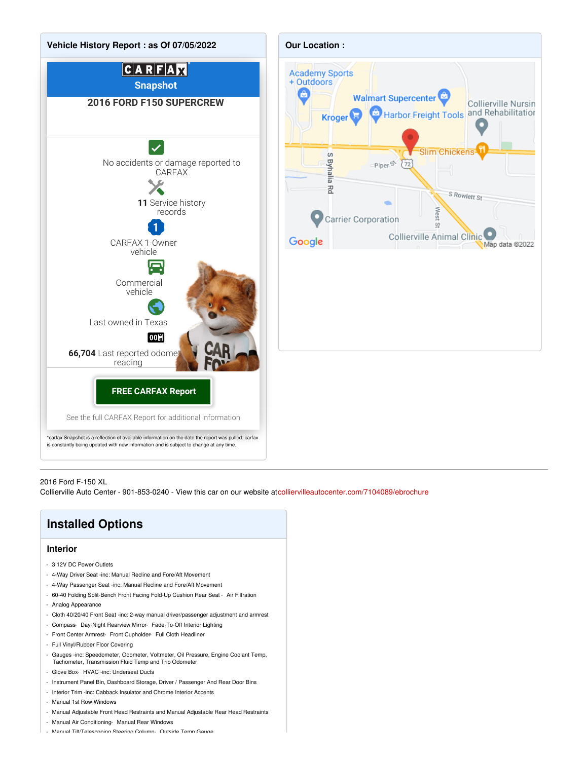



#### 2016 Ford F-150 XL

Collierville Auto Center - 901-853-0240 - View this car on our website at[colliervilleautocenter.com/7104089/ebrochure](https://colliervilleautocenter.com/vehicle/7104089/2016-ford-f-150-xl-collierville-tn-38017/7104089/ebrochure)

## **Installed Options**

#### **Interior**

- 3 12V DC Power Outlets
- 4-Way Driver Seat -inc: Manual Recline and Fore/Aft Movement
- 4-Way Passenger Seat -inc: Manual Recline and Fore/Aft Movement
- 60-40 Folding Split-Bench Front Facing Fold-Up Cushion Rear Seat Air Filtration
- Analog Appearance
- Cloth 40/20/40 Front Seat -inc: 2-way manual driver/passenger adjustment and armrest
- Compass- Day-Night Rearview Mirror- Fade-To-Off Interior Lighting
- Front Center Armrest- Front Cupholder- Full Cloth Headliner
- Full Vinyl/Rubber Floor Covering
- Gauges -inc: Speedometer, Odometer, Voltmeter, Oil Pressure, Engine Coolant Temp, Tachometer, Transmission Fluid Temp and Trip Odometer
- Glove Box- HVAC -inc: Underseat Ducts
- Instrument Panel Bin, Dashboard Storage, Driver / Passenger And Rear Door Bins
- Interior Trim -inc: Cabback Insulator and Chrome Interior Accents
- Manual 1st Row Windows
- Manual Adjustable Front Head Restraints and Manual Adjustable Rear Head Restraints
- Manual Air Conditioning- Manual Rear Windows
- Manual Tilt/Telescoping Steering Column- Outside Temp Gauge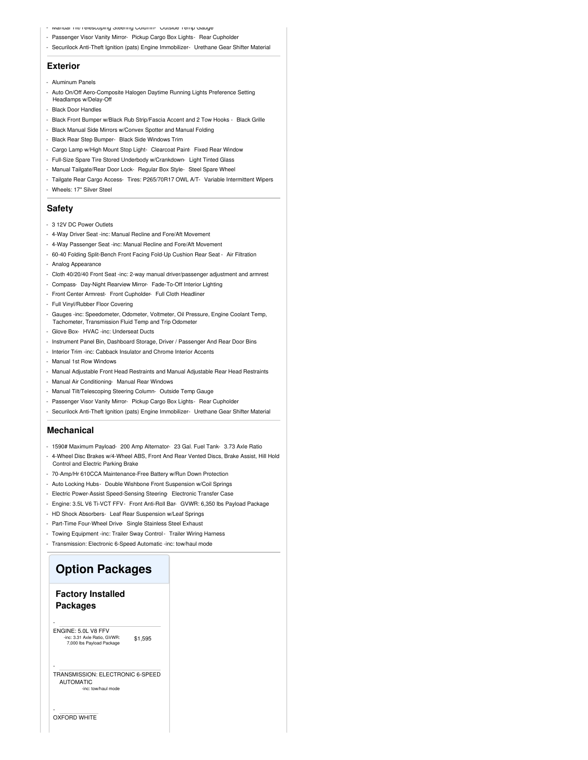- Manual Till Telescoping Steering Column- Outside Temp Gauge
- Passenger Visor Vanity Mirror- Pickup Cargo Box Lights- Rear Cupholder
- Securilock Anti-Theft Ignition (pats) Engine Immobilizer- Urethane Gear Shifter Material

#### **Exterior**

- Aluminum Panels
- Auto On/Off Aero-Composite Halogen Daytime Running Lights Preference Setting Headlamps w/Delay-Off
- Black Door Handles
- Black Front Bumper w/Black Rub Strip/Fascia Accent and 2 Tow Hooks Black Grille
- Black Manual Side Mirrors w/Convex Spotter and Manual Folding
- Black Rear Step Bumper- Black Side Windows Trim
- Cargo Lamp w/High Mount Stop Light- Clearcoat Paint- Fixed Rear Window
- Full-Size Spare Tire Stored Underbody w/Crankdown- Light Tinted Glass
- Manual Tailgate/Rear Door Lock- Regular Box Style- Steel Spare Wheel
- Tailgate Rear Cargo Access- Tires: P265/70R17 OWL A/T- Variable Intermittent Wipers
- Wheels: 17" Silver Steel

#### **Safety**

- 3 12V DC Power Outlets
- 4-Way Driver Seat -inc: Manual Recline and Fore/Aft Movement
- 4-Way Passenger Seat -inc: Manual Recline and Fore/Aft Movement
- 60-40 Folding Split-Bench Front Facing Fold-Up Cushion Rear Seat Air Filtration
- Analog Appearance
- Cloth 40/20/40 Front Seat -inc: 2-way manual driver/passenger adjustment and armrest
- Compass- Day-Night Rearview Mirror- Fade-To-Off Interior Lighting
- Front Center Armrest- Front Cupholder- Full Cloth Headliner
- Full Vinyl/Rubber Floor Covering
- Gauges -inc: Speedometer, Odometer, Voltmeter, Oil Pressure, Engine Coolant Temp, Tachometer, Transmission Fluid Temp and Trip Odometer
- Glove Box- HVAC -inc: Underseat Ducts
- Instrument Panel Bin, Dashboard Storage, Driver / Passenger And Rear Door Bins
- Interior Trim -inc: Cabback Insulator and Chrome Interior Accents
- Manual 1st Row Windows
- Manual Adjustable Front Head Restraints and Manual Adjustable Rear Head Restraints
- Manual Air Conditioning- Manual Rear Windows
- Manual Tilt/Telescoping Steering Column- Outside Temp Gauge
- Passenger Visor Vanity Mirror- Pickup Cargo Box Lights- Rear Cupholder
- Securilock Anti-Theft Ignition (pats) Engine Immobilizer- Urethane Gear Shifter Material

#### **Mechanical**

- 1590# Maximum Payload- 200 Amp Alternator- 23 Gal. Fuel Tank- 3.73 Axle Ratio
- 4-Wheel Disc Brakes w/4-Wheel ABS, Front And Rear Vented Discs, Brake Assist, Hill Hold Control and Electric Parking Brake
- 70-Amp/Hr 610CCA Maintenance-Free Battery w/Run Down Protection
- Auto Locking Hubs- Double Wishbone Front Suspension w/Coil Springs
- Electric Power-Assist Speed-Sensing Steering- Electronic Transfer Case
- Engine: 3.5L V6 Ti-VCT FFV- Front Anti-Roll Bar- GVWR: 6,350 lbs Payload Package
- HD Shock Absorbers- Leaf Rear Suspension w/Leaf Springs
- Part-Time Four-Wheel Drive- Single Stainless Steel Exhaust
- Towing Equipment -inc: Trailer Sway Control Trailer Wiring Harness
- Transmission: Electronic 6-Speed Automatic -inc: tow/haul mode

### **Option Packages**

### **Factory Installed Packages**

-

-

-

\$1,595 ENGINE: 5.0L V8 FFV -inc: 3.31 Axle Ratio, GVWR: 7,000 lbs Payload Package

#### TRANSMISSION: ELECTRONIC 6-SPEED AUTOMATIC c: tow/haul mode

OXFORD WHITE